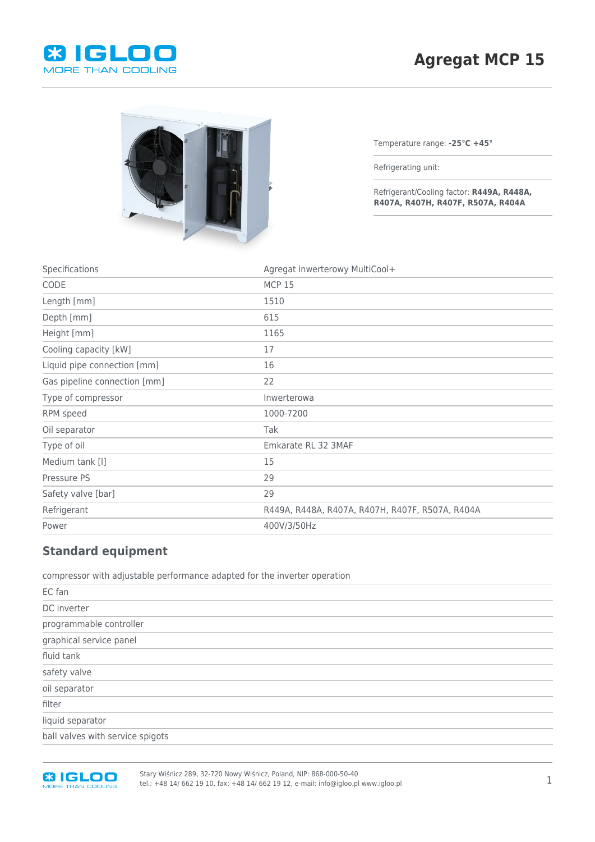



Temperature range: **-25°C +45°**

Refrigerating unit:

Refrigerant/Cooling factor: **R449A, R448A, R407A, R407H, R407F, R507A, R404A**

| Specifications               | Agregat inwerterowy MultiCool+                  |
|------------------------------|-------------------------------------------------|
| CODE                         | <b>MCP 15</b>                                   |
| Length [mm]                  | 1510                                            |
| Depth [mm]                   | 615                                             |
| Height [mm]                  | 1165                                            |
| Cooling capacity [kW]        | 17                                              |
| Liquid pipe connection [mm]  | 16                                              |
| Gas pipeline connection [mm] | 22                                              |
| Type of compressor           | Inwerterowa                                     |
| RPM speed                    | 1000-7200                                       |
| Oil separator                | Tak                                             |
| Type of oil                  | Emkarate RL 32 3MAF                             |
| Medium tank [I]              | 15                                              |
| Pressure PS                  | 29                                              |
| Safety valve [bar]           | 29                                              |
| Refrigerant                  | R449A, R448A, R407A, R407H, R407F, R507A, R404A |
| Power                        | 400V/3/50Hz                                     |
|                              |                                                 |

## **Standard equipment**

compressor with adjustable performance adapted for the inverter operation

| DC inverter                      |
|----------------------------------|
| programmable controller          |
| graphical service panel          |
| fluid tank                       |
| safety valve                     |
| oil separator                    |
| filter                           |
| liquid separator                 |
| ball valves with service spigots |



Stary Wiśnicz 289, 32-720 Nowy Wiśnicz, Poland, NIP: 868-000-50-40 tel.: +48 14/ 662 19 10, fax: +48 14/ 662 19 12, e-mail: info@igloo.pl www.igloo.pl 1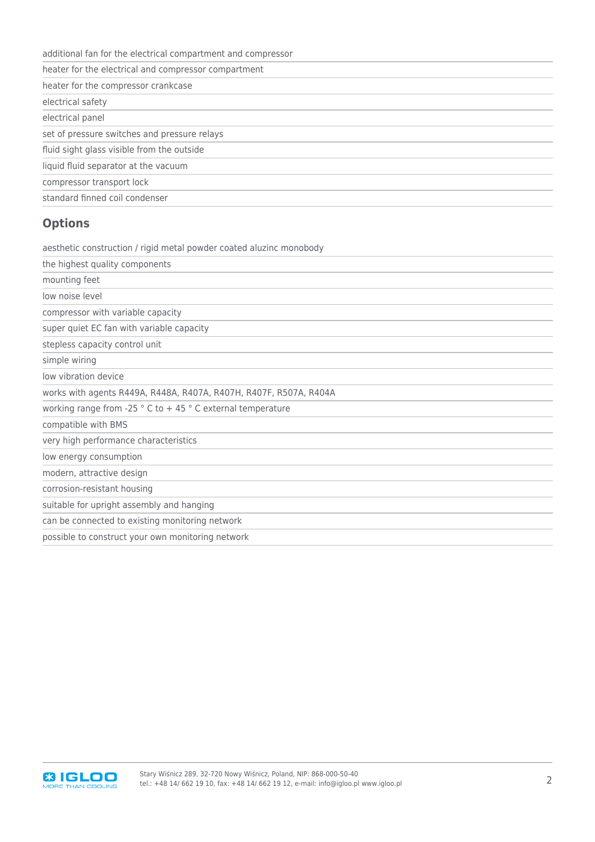|  | additional fan for the electrical compartment and compressor |
|--|--------------------------------------------------------------|
|--|--------------------------------------------------------------|

heater for the electrical and compressor compartment

heater for the compressor crankcase

electrical safety

electrical panel

set of pressure switches and pressure relays

fluid sight glass visible from the outside

liquid fluid separator at the vacuum

compressor transport lock

standard finned coil condenser

## **Options**

aesthetic construction / rigid metal powder coated aluzinc monobody

the highest quality components

mounting feet

low noise level

compressor with variable capacity

super quiet EC fan with variable capacity

stepless capacity control unit

simple wiring

low vibration device

works with agents R449A, R448A, R407A, R407H, R407F, R507A, R404A

working range from -25 ° C to + 45 ° C external temperature

compatible with BMS

very high performance characteristics

low energy consumption

modern, attractive design

corrosion-resistant housing

suitable for upright assembly and hanging

can be connected to existing monitoring network

possible to construct your own monitoring network